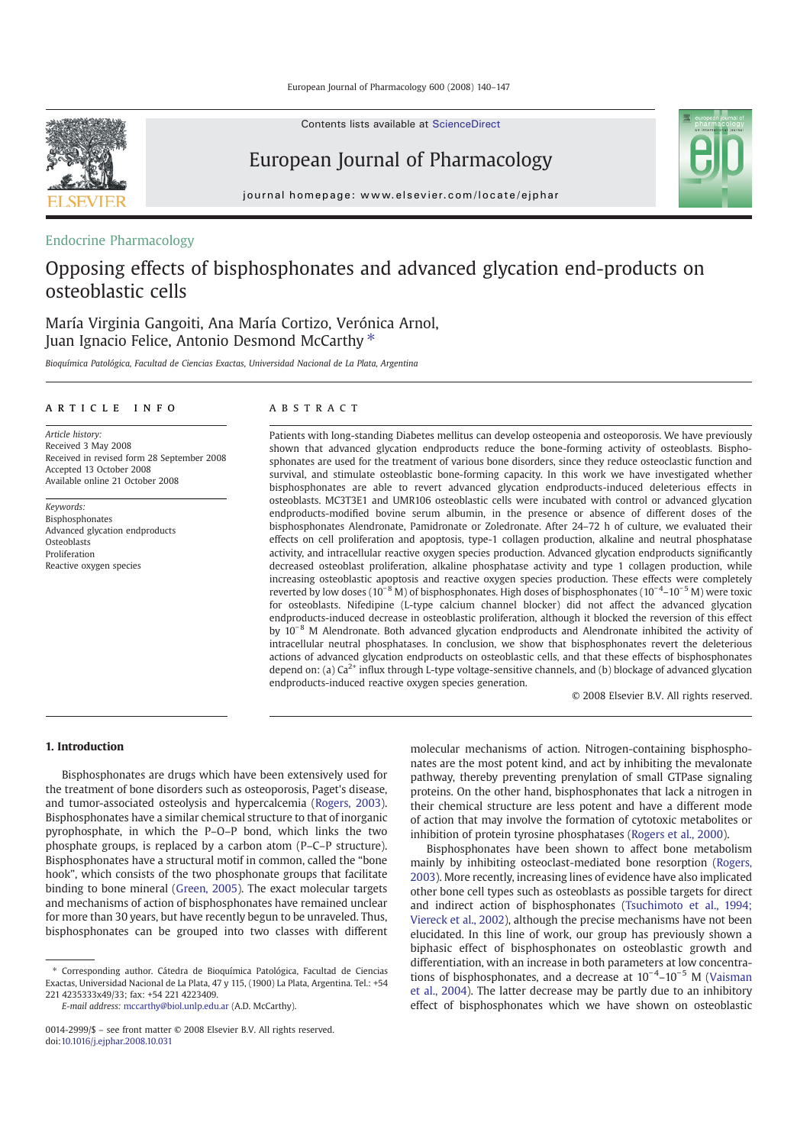Contents lists available at ScienceDirect



European Journal of Pharmacology



# Endocrine Pharmacology

# Opposing effects of bisphosphonates and advanced glycation end-products on osteoblastic cells

María Virginia Gangoiti, Ana María Cortizo, Verónica Arnol, Juan Ignacio Felice, Antonio Desmond McCarthy<sup>\*</sup>

Bioquímica Patológica, Facultad de Ciencias Exactas, Universidad Nacional de La Plata, Argentina

#### article info abstract

Article history: Received 3 May 2008 Received in revised form 28 September 2008 Accepted 13 October 2008 Available online 21 October 2008

Keywords: Bisphosphonates Advanced glycation endproducts **Osteoblasts** Proliferation Reactive oxygen species

Patients with long-standing Diabetes mellitus can develop osteopenia and osteoporosis. We have previously shown that advanced glycation endproducts reduce the bone-forming activity of osteoblasts. Bisphosphonates are used for the treatment of various bone disorders, since they reduce osteoclastic function and survival, and stimulate osteoblastic bone-forming capacity. In this work we have investigated whether bisphosphonates are able to revert advanced glycation endproducts-induced deleterious effects in osteoblasts. MC3T3E1 and UMR106 osteoblastic cells were incubated with control or advanced glycation endproducts-modified bovine serum albumin, in the presence or absence of different doses of the bisphosphonates Alendronate, Pamidronate or Zoledronate. After 24–72 h of culture, we evaluated their effects on cell proliferation and apoptosis, type-1 collagen production, alkaline and neutral phosphatase activity, and intracellular reactive oxygen species production. Advanced glycation endproducts significantly decreased osteoblast proliferation, alkaline phosphatase activity and type 1 collagen production, while increasing osteoblastic apoptosis and reactive oxygen species production. These effects were completely reverted by low doses (10<sup>-8</sup> M) of bisphosphonates. High doses of bisphosphonates (10<sup>-4</sup>-10<sup>-5</sup> M) were toxic for osteoblasts. Nifedipine (L-type calcium channel blocker) did not affect the advanced glycation endproducts-induced decrease in osteoblastic proliferation, although it blocked the reversion of this effect by 10−<sup>8</sup> M Alendronate. Both advanced glycation endproducts and Alendronate inhibited the activity of intracellular neutral phosphatases. In conclusion, we show that bisphosphonates revert the deleterious actions of advanced glycation endproducts on osteoblastic cells, and that these effects of bisphosphonates depend on: (a)  $Ca<sup>2+</sup>$  influx through L-type voltage-sensitive channels, and (b) blockage of advanced glycation endproducts-induced reactive oxygen species generation.

© 2008 Elsevier B.V. All rights reserved.

#### 1. Introduction

Bisphosphonates are drugs which have been extensively used for the treatment of bone disorders such as osteoporosis, Paget's disease, and tumor-associated osteolysis and hypercalcemia (Rogers, 2003). Bisphosphonates have a similar chemical structure to that of inorganic pyrophosphate, in which the P–O–P bond, which links the two phosphate groups, is replaced by a carbon atom (P–C–P structure). Bisphosphonates have a structural motif in common, called the "bone hook", which consists of the two phosphonate groups that facilitate binding to bone mineral (Green, 2005). The exact molecular targets and mechanisms of action of bisphosphonates have remained unclear for more than 30 years, but have recently begun to be unraveled. Thus, bisphosphonates can be grouped into two classes with different

⁎ Corresponding author. Cátedra de Bioquímica Patológica, Facultad de Ciencias Exactas, Universidad Nacional de La Plata, 47 y 115, (1900) La Plata, Argentina. Tel.: +54 221 4235333x49/33; fax: +54 221 4223409.

E-mail address: mccarthy@biol.unlp.edu.ar (A.D. McCarthy).

molecular mechanisms of action. Nitrogen-containing bisphosphonates are the most potent kind, and act by inhibiting the mevalonate pathway, thereby preventing prenylation of small GTPase signaling proteins. On the other hand, bisphosphonates that lack a nitrogen in their chemical structure are less potent and have a different mode of action that may involve the formation of cytotoxic metabolites or inhibition of protein tyrosine phosphatases (Rogers et al., 2000).

Bisphosphonates have been shown to affect bone metabolism mainly by inhibiting osteoclast-mediated bone resorption (Rogers, 2003). More recently, increasing lines of evidence have also implicated other bone cell types such as osteoblasts as possible targets for direct and indirect action of bisphosphonates (Tsuchimoto et al., 1994; Viereck et al., 2002), although the precise mechanisms have not been elucidated. In this line of work, our group has previously shown a biphasic effect of bisphosphonates on osteoblastic growth and differentiation, with an increase in both parameters at low concentrations of bisphosphonates, and a decrease at  $10^{-4}$ – $10^{-5}$  M (Vaisman et al., 2004). The latter decrease may be partly due to an inhibitory effect of bisphosphonates which we have shown on osteoblastic

<sup>0014-2999/\$</sup> – see front matter © 2008 Elsevier B.V. All rights reserved. doi:10.1016/j.ejphar.2008.10.031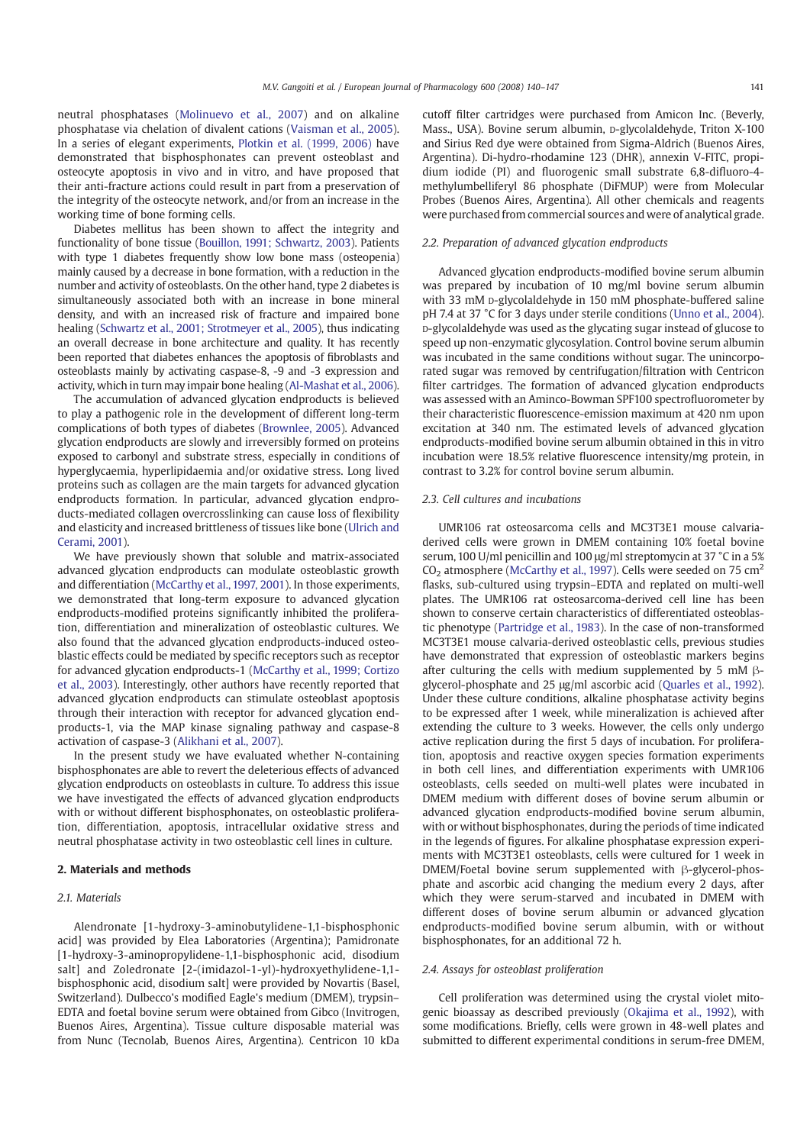neutral phosphatases (Molinuevo et al., 2007) and on alkaline phosphatase via chelation of divalent cations (Vaisman et al., 2005). In a series of elegant experiments, Plotkin et al. (1999, 2006) have demonstrated that bisphosphonates can prevent osteoblast and osteocyte apoptosis in vivo and in vitro, and have proposed that their anti-fracture actions could result in part from a preservation of the integrity of the osteocyte network, and/or from an increase in the working time of bone forming cells.

Diabetes mellitus has been shown to affect the integrity and functionality of bone tissue (Bouillon, 1991; Schwartz, 2003). Patients with type 1 diabetes frequently show low bone mass (osteopenia) mainly caused by a decrease in bone formation, with a reduction in the number and activity of osteoblasts. On the other hand, type 2 diabetes is simultaneously associated both with an increase in bone mineral density, and with an increased risk of fracture and impaired bone healing (Schwartz et al., 2001; Strotmeyer et al., 2005), thus indicating an overall decrease in bone architecture and quality. It has recently been reported that diabetes enhances the apoptosis of fibroblasts and osteoblasts mainly by activating caspase-8, -9 and -3 expression and activity, which in turn may impair bone healing (Al-Mashat et al., 2006).

The accumulation of advanced glycation endproducts is believed to play a pathogenic role in the development of different long-term complications of both types of diabetes (Brownlee, 2005). Advanced glycation endproducts are slowly and irreversibly formed on proteins exposed to carbonyl and substrate stress, especially in conditions of hyperglycaemia, hyperlipidaemia and/or oxidative stress. Long lived proteins such as collagen are the main targets for advanced glycation endproducts formation. In particular, advanced glycation endproducts-mediated collagen overcrosslinking can cause loss of flexibility and elasticity and increased brittleness of tissues like bone (Ulrich and Cerami, 2001).

We have previously shown that soluble and matrix-associated advanced glycation endproducts can modulate osteoblastic growth and differentiation (McCarthy et al., 1997, 2001). In those experiments, we demonstrated that long-term exposure to advanced glycation endproducts-modified proteins significantly inhibited the proliferation, differentiation and mineralization of osteoblastic cultures. We also found that the advanced glycation endproducts-induced osteoblastic effects could be mediated by specific receptors such as receptor for advanced glycation endproducts-1 (McCarthy et al., 1999; Cortizo et al., 2003). Interestingly, other authors have recently reported that advanced glycation endproducts can stimulate osteoblast apoptosis through their interaction with receptor for advanced glycation endproducts-1, via the MAP kinase signaling pathway and caspase-8 activation of caspase-3 (Alikhani et al., 2007).

In the present study we have evaluated whether N-containing bisphosphonates are able to revert the deleterious effects of advanced glycation endproducts on osteoblasts in culture. To address this issue we have investigated the effects of advanced glycation endproducts with or without different bisphosphonates, on osteoblastic proliferation, differentiation, apoptosis, intracellular oxidative stress and neutral phosphatase activity in two osteoblastic cell lines in culture.

### 2. Materials and methods

# 2.1. Materials

Alendronate [1-hydroxy-3-aminobutylidene-1,1-bisphosphonic acid] was provided by Elea Laboratories (Argentina); Pamidronate [1-hydroxy-3-aminopropylidene-1,1-bisphosphonic acid, disodium salt] and Zoledronate [2-(imidazol-1-yl)-hydroxyethylidene-1,1 bisphosphonic acid, disodium salt] were provided by Novartis (Basel, Switzerland). Dulbecco's modified Eagle's medium (DMEM), trypsin– EDTA and foetal bovine serum were obtained from Gibco (Invitrogen, Buenos Aires, Argentina). Tissue culture disposable material was from Nunc (Tecnolab, Buenos Aires, Argentina). Centricon 10 kDa cutoff filter cartridges were purchased from Amicon Inc. (Beverly, Mass., USA). Bovine serum albumin, p-glycolaldehyde, Triton X-100 and Sirius Red dye were obtained from Sigma-Aldrich (Buenos Aires, Argentina). Di-hydro-rhodamine 123 (DHR), annexin V-FITC, propidium iodide (PI) and fluorogenic small substrate 6,8-difluoro-4 methylumbelliferyl 86 phosphate (DiFMUP) were from Molecular Probes (Buenos Aires, Argentina). All other chemicals and reagents were purchased from commercial sources and were of analytical grade.

#### 2.2. Preparation of advanced glycation endproducts

Advanced glycation endproducts-modified bovine serum albumin was prepared by incubation of 10 mg/ml bovine serum albumin with 33 mM p-glycolaldehyde in 150 mM phosphate-buffered saline pH 7.4 at 37 °C for 3 days under sterile conditions (Unno et al., 2004). D-glycolaldehyde was used as the glycating sugar instead of glucose to speed up non-enzymatic glycosylation. Control bovine serum albumin was incubated in the same conditions without sugar. The unincorporated sugar was removed by centrifugation/filtration with Centricon filter cartridges. The formation of advanced glycation endproducts was assessed with an Aminco-Bowman SPF100 spectrofluorometer by their characteristic fluorescence-emission maximum at 420 nm upon excitation at 340 nm. The estimated levels of advanced glycation endproducts-modified bovine serum albumin obtained in this in vitro incubation were 18.5% relative fluorescence intensity/mg protein, in contrast to 3.2% for control bovine serum albumin.

### 2.3. Cell cultures and incubations

UMR106 rat osteosarcoma cells and MC3T3E1 mouse calvariaderived cells were grown in DMEM containing 10% foetal bovine serum, 100 U/ml penicillin and 100 μg/ml streptomycin at 37 °C in a 5%  $CO<sub>2</sub>$  atmosphere (McCarthy et al., 1997). Cells were seeded on 75 cm<sup>2</sup> flasks, sub-cultured using trypsin–EDTA and replated on multi-well plates. The UMR106 rat osteosarcoma-derived cell line has been shown to conserve certain characteristics of differentiated osteoblastic phenotype (Partridge et al., 1983). In the case of non-transformed MC3T3E1 mouse calvaria-derived osteoblastic cells, previous studies have demonstrated that expression of osteoblastic markers begins after culturing the cells with medium supplemented by 5 mM βglycerol-phosphate and 25 μg/ml ascorbic acid (Quarles et al., 1992). Under these culture conditions, alkaline phosphatase activity begins to be expressed after 1 week, while mineralization is achieved after extending the culture to 3 weeks. However, the cells only undergo active replication during the first 5 days of incubation. For proliferation, apoptosis and reactive oxygen species formation experiments in both cell lines, and differentiation experiments with UMR106 osteoblasts, cells seeded on multi-well plates were incubated in DMEM medium with different doses of bovine serum albumin or advanced glycation endproducts-modified bovine serum albumin, with or without bisphosphonates, during the periods of time indicated in the legends of figures. For alkaline phosphatase expression experiments with MC3T3E1 osteoblasts, cells were cultured for 1 week in DMEM/Foetal bovine serum supplemented with β-glycerol-phosphate and ascorbic acid changing the medium every 2 days, after which they were serum-starved and incubated in DMEM with different doses of bovine serum albumin or advanced glycation endproducts-modified bovine serum albumin, with or without bisphosphonates, for an additional 72 h.

#### 2.4. Assays for osteoblast proliferation

Cell proliferation was determined using the crystal violet mitogenic bioassay as described previously (Okajima et al., 1992), with some modifications. Briefly, cells were grown in 48-well plates and submitted to different experimental conditions in serum-free DMEM,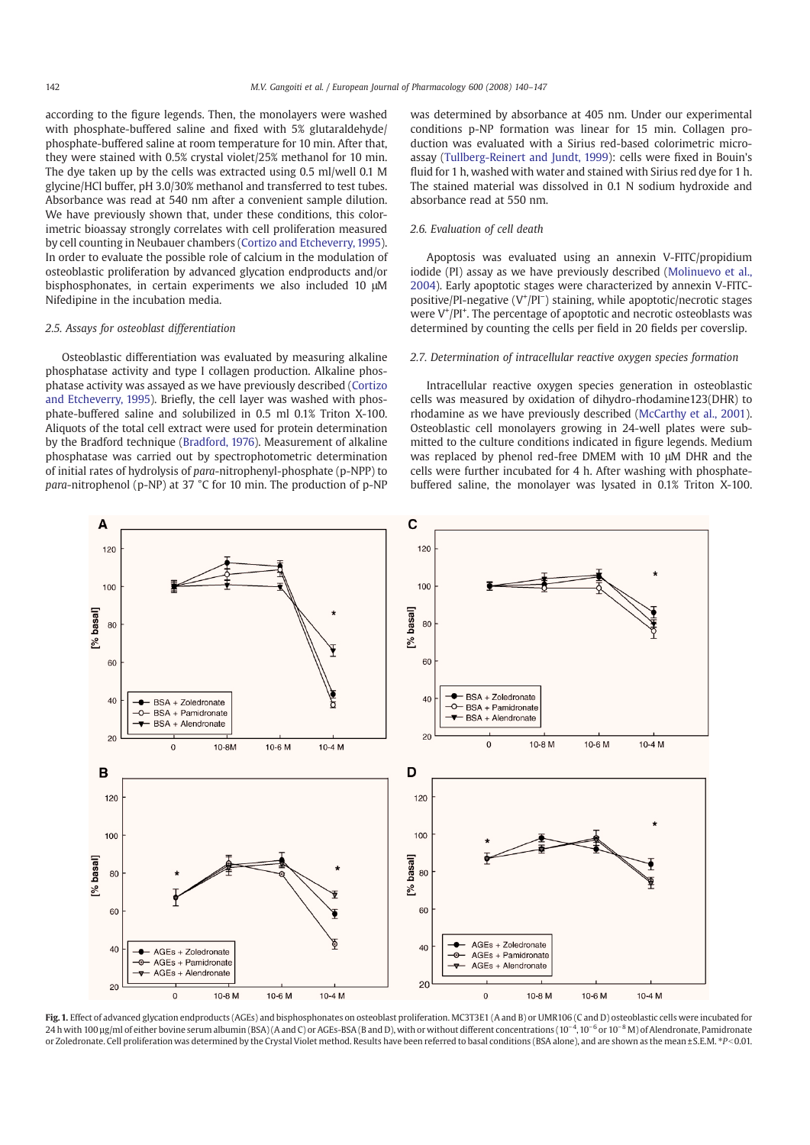according to the figure legends. Then, the monolayers were washed with phosphate-buffered saline and fixed with 5% glutaraldehyde/ phosphate-buffered saline at room temperature for 10 min. After that, they were stained with 0.5% crystal violet/25% methanol for 10 min. The dye taken up by the cells was extracted using 0.5 ml/well 0.1 M glycine/HCl buffer, pH 3.0/30% methanol and transferred to test tubes. Absorbance was read at 540 nm after a convenient sample dilution. We have previously shown that, under these conditions, this colorimetric bioassay strongly correlates with cell proliferation measured by cell counting in Neubauer chambers (Cortizo and Etcheverry, 1995). In order to evaluate the possible role of calcium in the modulation of osteoblastic proliferation by advanced glycation endproducts and/or bisphosphonates, in certain experiments we also included 10 μM Nifedipine in the incubation media.

#### 2.5. Assays for osteoblast differentiation

Osteoblastic differentiation was evaluated by measuring alkaline phosphatase activity and type I collagen production. Alkaline phosphatase activity was assayed as we have previously described (Cortizo and Etcheverry, 1995). Briefly, the cell layer was washed with phosphate-buffered saline and solubilized in 0.5 ml 0.1% Triton X-100. Aliquots of the total cell extract were used for protein determination by the Bradford technique (Bradford, 1976). Measurement of alkaline phosphatase was carried out by spectrophotometric determination of initial rates of hydrolysis of para-nitrophenyl-phosphate (p-NPP) to para-nitrophenol (p-NP) at 37 °C for 10 min. The production of p-NP was determined by absorbance at 405 nm. Under our experimental conditions p-NP formation was linear for 15 min. Collagen production was evaluated with a Sirius red-based colorimetric microassay (Tullberg-Reinert and Jundt, 1999): cells were fixed in Bouin's fluid for 1 h, washed with water and stained with Sirius red dye for 1 h. The stained material was dissolved in 0.1 N sodium hydroxide and absorbance read at 550 nm.

#### 2.6. Evaluation of cell death

Apoptosis was evaluated using an annexin V-FITC/propidium iodide (PI) assay as we have previously described (Molinuevo et al., 2004). Early apoptotic stages were characterized by annexin V-FITCpositive/PI-negative (V<sup>+</sup>/PI<sup>-</sup>) staining, while apoptotic/necrotic stages were V<sup>+</sup>/PI<sup>+</sup>. The percentage of apoptotic and necrotic osteoblasts was determined by counting the cells per field in 20 fields per coverslip.

#### 2.7. Determination of intracellular reactive oxygen species formation

Intracellular reactive oxygen species generation in osteoblastic cells was measured by oxidation of dihydro-rhodamine123(DHR) to rhodamine as we have previously described (McCarthy et al., 2001). Osteoblastic cell monolayers growing in 24-well plates were submitted to the culture conditions indicated in figure legends. Medium was replaced by phenol red-free DMEM with 10 μM DHR and the cells were further incubated for 4 h. After washing with phosphatebuffered saline, the monolayer was lysated in 0.1% Triton X-100.



Fig. 1. Effect of advanced glycation endproducts (AGEs) and bisphosphonates on osteoblast proliferation. MC3T3E1 (A and B) or UMR106 (C and D) osteoblastic cells were incubated for 24 h with 100 µg/ml of either bovine serum albumin (BSA) (A and C) or AGEs-BSA (B and D), with or without different concentrations (10<sup>-4</sup>, 10<sup>-6</sup> or 10<sup>-8</sup> M) of Alendronate, Pamidronate or Zoledronate. Cell proliferation was determined by the Crystal Violet method. Results have been referred to basal conditions (BSA alone), and are shown as the mean ± S.E.M. \*P<0.01.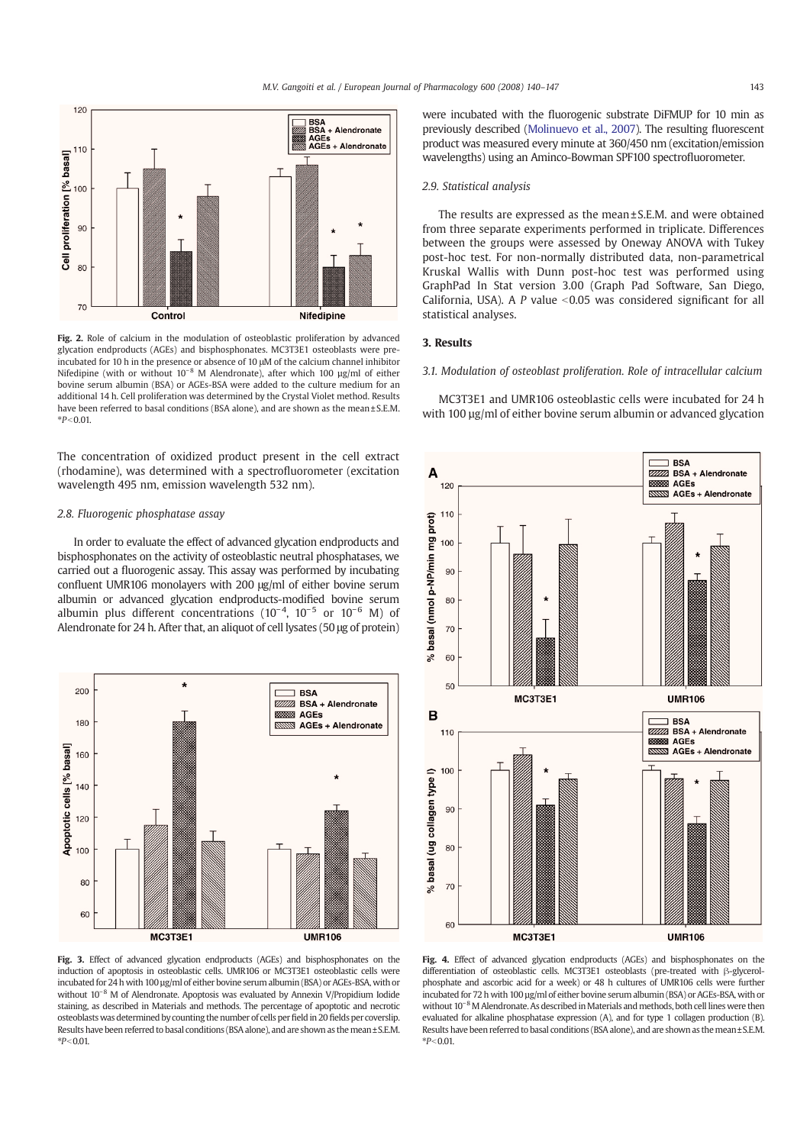

Fig. 2. Role of calcium in the modulation of osteoblastic proliferation by advanced glycation endproducts (AGEs) and bisphosphonates. MC3T3E1 osteoblasts were preincubated for 10 h in the presence or absence of 10 μM of the calcium channel inhibitor Nifedipine (with or without 10<sup>-8</sup> M Alendronate), after which 100 µg/ml of either bovine serum albumin (BSA) or AGEs-BSA were added to the culture medium for an additional 14 h. Cell proliferation was determined by the Crystal Violet method. Results have been referred to basal conditions (BSA alone), and are shown as the mean ± S.E.M.  $*P < 0.01$ .

The concentration of oxidized product present in the cell extract (rhodamine), was determined with a spectrofluorometer (excitation wavelength 495 nm, emission wavelength 532 nm).

#### 2.8. Fluorogenic phosphatase assay

In order to evaluate the effect of advanced glycation endproducts and bisphosphonates on the activity of osteoblastic neutral phosphatases, we carried out a fluorogenic assay. This assay was performed by incubating confluent UMR106 monolayers with 200 μg/ml of either bovine serum albumin or advanced glycation endproducts-modified bovine serum albumin plus different concentrations  $(10^{-4}, 10^{-5}$  or  $10^{-6}$  M) of Alendronate for 24 h. After that, an aliquot of cell lysates (50 μg of protein)



Fig. 3. Effect of advanced glycation endproducts (AGEs) and bisphosphonates on the induction of apoptosis in osteoblastic cells. UMR106 or MC3T3E1 osteoblastic cells were incubated for 24 h with 100 µg/ml of either bovine serum albumin (BSA) or AGEs-BSA, with or without 10<sup>-8</sup> M of Alendronate. Apoptosis was evaluated by Annexin V/Propidium Iodide staining, as described in Materials and methods. The percentage of apoptotic and necrotic osteoblasts was determined by counting the number of cells perfield in 20 fields per coverslip. Results have been referred to basal conditions (BSA alone), and are shown as the mean±S.E.M.  $*P < 0.01$ 

were incubated with the fluorogenic substrate DiFMUP for 10 min as previously described (Molinuevo et al., 2007). The resulting fluorescent product was measured every minute at 360/450 nm (excitation/emission wavelengths) using an Aminco-Bowman SPF100 spectrofluorometer.

#### 2.9. Statistical analysis

The results are expressed as the mean ± S.E.M. and were obtained from three separate experiments performed in triplicate. Differences between the groups were assessed by Oneway ANOVA with Tukey post-hoc test. For non-normally distributed data, non-parametrical Kruskal Wallis with Dunn post-hoc test was performed using GraphPad In Stat version 3.00 (Graph Pad Software, San Diego, California, USA). A P value  $\leq$ 0.05 was considered significant for all statistical analyses.

#### 3. Results

#### 3.1. Modulation of osteoblast proliferation. Role of intracellular calcium

MC3T3E1 and UMR106 osteoblastic cells were incubated for 24 h with 100 µg/ml of either bovine serum albumin or advanced glycation



Fig. 4. Effect of advanced glycation endproducts (AGEs) and bisphosphonates on the differentiation of osteoblastic cells. MC3T3E1 osteoblasts (pre-treated with β-glycerolphosphate and ascorbic acid for a week) or 48 h cultures of UMR106 cells were further incubated for 72 h with 100 µg/ml of either bovine serum albumin (BSA) or AGEs-BSA, with or without 10<sup>-8</sup> M Alendronate. As described in Materials and methods, both cell lines were then evaluated for alkaline phosphatase expression (A), and for type 1 collagen production (B). Results have been referred to basal conditions (BSA alone), and are shown as the mean±S.E.M.  $*P < 0.01$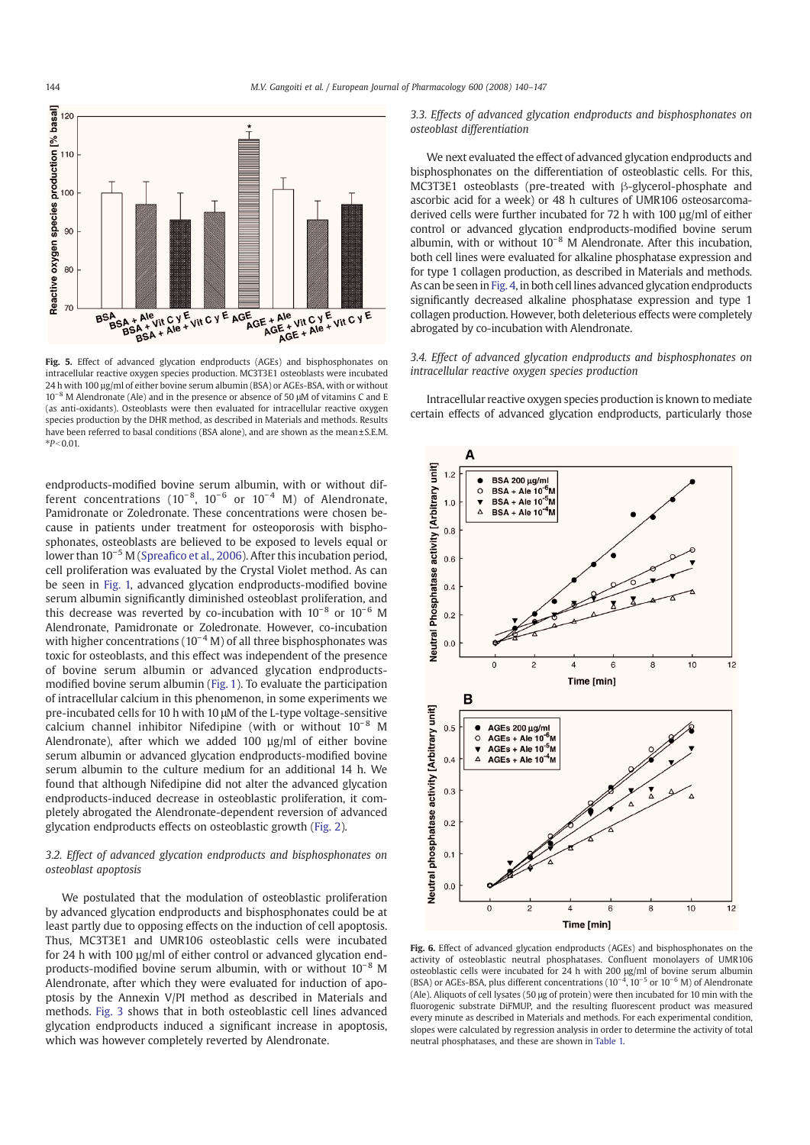

Fig. 5. Effect of advanced glycation endproducts (AGEs) and bisphosphonates on intracellular reactive oxygen species production. MC3T3E1 osteoblasts were incubated 24 h with 100 µg/ml of either bovine serum albumin (BSA) or AGEs-BSA, with or without 10−<sup>8</sup> M Alendronate (Ale) and in the presence or absence of 50 μM of vitamins C and E (as anti-oxidants). Osteoblasts were then evaluated for intracellular reactive oxygen species production by the DHR method, as described in Materials and methods. Results have been referred to basal conditions (BSA alone), and are shown as the mean ± S.E.M.  $*P < 0.01$ 

endproducts-modified bovine serum albumin, with or without different concentrations (10<sup>-8</sup>, 10<sup>-6</sup> or 10<sup>-4</sup> M) of Alendronate, Pamidronate or Zoledronate. These concentrations were chosen because in patients under treatment for osteoporosis with bisphosphonates, osteoblasts are believed to be exposed to levels equal or lower than 10−<sup>5</sup> M (Spreafico et al., 2006). After this incubation period, cell proliferation was evaluated by the Crystal Violet method. As can be seen in Fig. 1, advanced glycation endproducts-modified bovine serum albumin significantly diminished osteoblast proliferation, and this decrease was reverted by co-incubation with  $10^{-8}$  or  $10^{-6}$  M Alendronate, Pamidronate or Zoledronate. However, co-incubation with higher concentrations ( $10^{-4}$  M) of all three bisphosphonates was toxic for osteoblasts, and this effect was independent of the presence of bovine serum albumin or advanced glycation endproductsmodified bovine serum albumin (Fig. 1). To evaluate the participation of intracellular calcium in this phenomenon, in some experiments we pre-incubated cells for 10 h with 10 μM of the L-type voltage-sensitive calcium channel inhibitor Nifedipine (with or without 10<sup>-8</sup> M Alendronate), after which we added 100 µg/ml of either bovine serum albumin or advanced glycation endproducts-modified bovine serum albumin to the culture medium for an additional 14 h. We found that although Nifedipine did not alter the advanced glycation endproducts-induced decrease in osteoblastic proliferation, it completely abrogated the Alendronate-dependent reversion of advanced glycation endproducts effects on osteoblastic growth (Fig. 2).

# 3.2. Effect of advanced glycation endproducts and bisphosphonates on osteoblast apoptosis

We postulated that the modulation of osteoblastic proliferation by advanced glycation endproducts and bisphosphonates could be at least partly due to opposing effects on the induction of cell apoptosis. Thus, MC3T3E1 and UMR106 osteoblastic cells were incubated for 24 h with 100 µg/ml of either control or advanced glycation endproducts-modified bovine serum albumin, with or without 10−<sup>8</sup> M Alendronate, after which they were evaluated for induction of apoptosis by the Annexin V/PI method as described in Materials and methods. Fig. 3 shows that in both osteoblastic cell lines advanced glycation endproducts induced a significant increase in apoptosis, which was however completely reverted by Alendronate.

3.3. Effects of advanced glycation endproducts and bisphosphonates on osteoblast differentiation

We next evaluated the effect of advanced glycation endproducts and bisphosphonates on the differentiation of osteoblastic cells. For this, MC3T3E1 osteoblasts (pre-treated with β-glycerol-phosphate and ascorbic acid for a week) or 48 h cultures of UMR106 osteosarcomaderived cells were further incubated for 72 h with 100 ug/ml of either control or advanced glycation endproducts-modified bovine serum albumin, with or without 10−<sup>8</sup> M Alendronate. After this incubation, both cell lines were evaluated for alkaline phosphatase expression and for type 1 collagen production, as described in Materials and methods. As can be seen in Fig. 4, in both cell lines advanced glycation endproducts significantly decreased alkaline phosphatase expression and type 1 collagen production. However, both deleterious effects were completely abrogated by co-incubation with Alendronate.

3.4. Effect of advanced glycation endproducts and bisphosphonates on intracellular reactive oxygen species production

Intracellular reactive oxygen species production is known to mediate certain effects of advanced glycation endproducts, particularly those



Fig. 6. Effect of advanced glycation endproducts (AGEs) and bisphosphonates on the activity of osteoblastic neutral phosphatases. Confluent monolayers of UMR106 osteoblastic cells were incubated for 24 h with 200 µg/ml of bovine serum albumin<br>(BSA) or AGEs-BSA, plus different concentrations (10<sup>−4</sup>, 10<sup>−5</sup> or 10<sup>−6</sup> M) of Alendronate (Ale). Aliquots of cell lysates (50 μg of protein) were then incubated for 10 min with the fluorogenic substrate DiFMUP, and the resulting fluorescent product was measured every minute as described in Materials and methods. For each experimental condition, slopes were calculated by regression analysis in order to determine the activity of total neutral phosphatases, and these are shown in Table 1.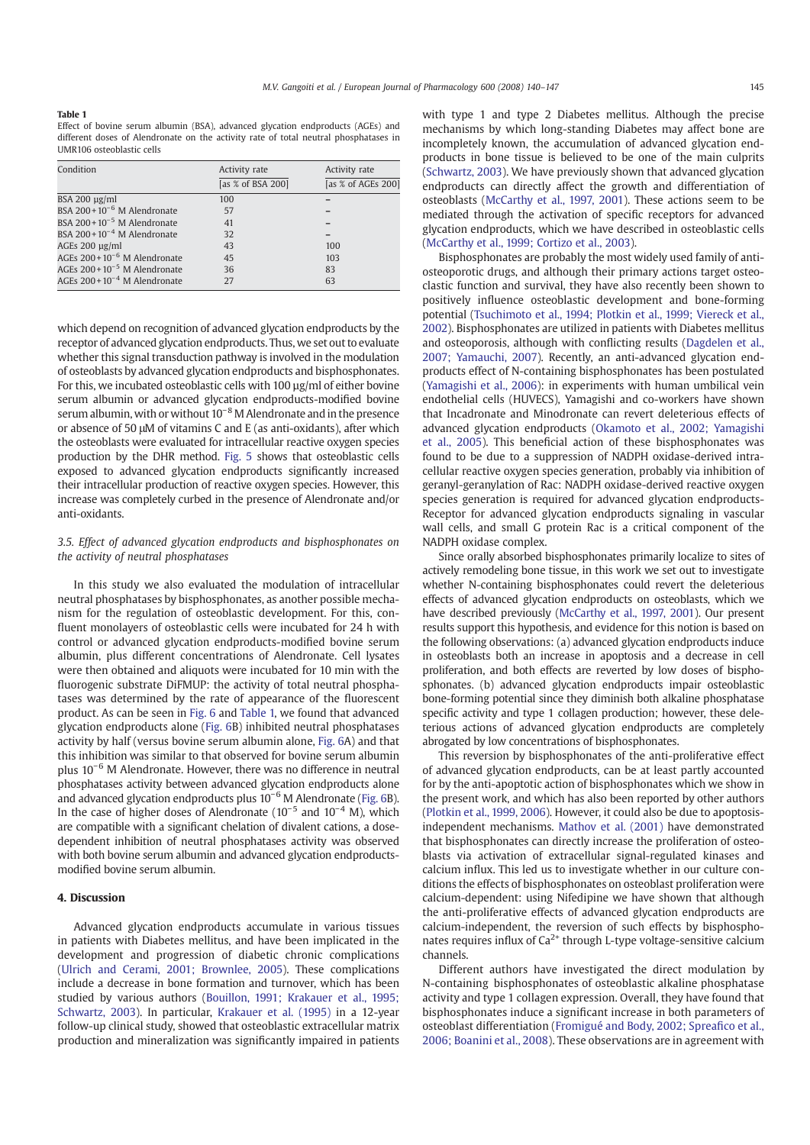#### Table 1

Effect of bovine serum albumin (BSA), advanced glycation endproducts (AGEs) and different doses of Alendronate on the activity rate of total neutral phosphatases in UMR106 osteoblastic cells

| Condition                        | Activity rate     | Activity rate      |
|----------------------------------|-------------------|--------------------|
|                                  | [as % of BSA 200] | [as % of AGEs 200] |
| $BSA 200 \mu g/ml$               | 100               |                    |
| BSA $200+10^{-6}$ M Alendronate  | 57                |                    |
| BSA $200+10^{-5}$ M Alendronate  | 41                |                    |
| BSA $200+10^{-4}$ M Alendronate  | 32                |                    |
| AGEs $200 \mu g/ml$              | 43                | 100                |
| AGEs $200+10^{-6}$ M Alendronate | 45                | 103                |
| AGEs $200+10^{-5}$ M Alendronate | 36                | 83                 |
| AGEs $200+10^{-4}$ M Alendronate | 27                | 63                 |

which depend on recognition of advanced glycation endproducts by the receptor of advanced glycation endproducts. Thus, we set out to evaluate whether this signal transduction pathway is involved in the modulation of osteoblasts by advanced glycation endproducts and bisphosphonates. For this, we incubated osteoblastic cells with 100 µg/ml of either bovine serum albumin or advanced glycation endproducts-modified bovine serum albumin, with or without 10<sup>-8</sup>M Alendronate and in the presence or absence of 50 μM of vitamins C and E (as anti-oxidants), after which the osteoblasts were evaluated for intracellular reactive oxygen species production by the DHR method. Fig. 5 shows that osteoblastic cells exposed to advanced glycation endproducts significantly increased their intracellular production of reactive oxygen species. However, this increase was completely curbed in the presence of Alendronate and/or anti-oxidants.

## 3.5. Effect of advanced glycation endproducts and bisphosphonates on the activity of neutral phosphatases

In this study we also evaluated the modulation of intracellular neutral phosphatases by bisphosphonates, as another possible mechanism for the regulation of osteoblastic development. For this, confluent monolayers of osteoblastic cells were incubated for 24 h with control or advanced glycation endproducts-modified bovine serum albumin, plus different concentrations of Alendronate. Cell lysates were then obtained and aliquots were incubated for 10 min with the fluorogenic substrate DiFMUP: the activity of total neutral phosphatases was determined by the rate of appearance of the fluorescent product. As can be seen in Fig. 6 and Table 1, we found that advanced glycation endproducts alone (Fig. 6B) inhibited neutral phosphatases activity by half (versus bovine serum albumin alone, Fig. 6A) and that this inhibition was similar to that observed for bovine serum albumin plus 10−<sup>6</sup> M Alendronate. However, there was no difference in neutral phosphatases activity between advanced glycation endproducts alone and advanced glycation endproducts plus 10−<sup>6</sup> M Alendronate (Fig. 6B). In the case of higher doses of Alendronate ( $10^{-5}$  and  $10^{-4}$  M), which are compatible with a significant chelation of divalent cations, a dosedependent inhibition of neutral phosphatases activity was observed with both bovine serum albumin and advanced glycation endproductsmodified bovine serum albumin.

### 4. Discussion

Advanced glycation endproducts accumulate in various tissues in patients with Diabetes mellitus, and have been implicated in the development and progression of diabetic chronic complications (Ulrich and Cerami, 2001; Brownlee, 2005). These complications include a decrease in bone formation and turnover, which has been studied by various authors (Bouillon, 1991; Krakauer et al., 1995; Schwartz, 2003). In particular, Krakauer et al. (1995) in a 12-year follow-up clinical study, showed that osteoblastic extracellular matrix production and mineralization was significantly impaired in patients with type 1 and type 2 Diabetes mellitus. Although the precise mechanisms by which long-standing Diabetes may affect bone are incompletely known, the accumulation of advanced glycation endproducts in bone tissue is believed to be one of the main culprits (Schwartz, 2003). We have previously shown that advanced glycation endproducts can directly affect the growth and differentiation of osteoblasts (McCarthy et al., 1997, 2001). These actions seem to be mediated through the activation of specific receptors for advanced glycation endproducts, which we have described in osteoblastic cells (McCarthy et al., 1999; Cortizo et al., 2003).

Bisphosphonates are probably the most widely used family of antiosteoporotic drugs, and although their primary actions target osteoclastic function and survival, they have also recently been shown to positively influence osteoblastic development and bone-forming potential (Tsuchimoto et al., 1994; Plotkin et al., 1999; Viereck et al., 2002). Bisphosphonates are utilized in patients with Diabetes mellitus and osteoporosis, although with conflicting results (Dagdelen et al., 2007; Yamauchi, 2007). Recently, an anti-advanced glycation endproducts effect of N-containing bisphosphonates has been postulated (Yamagishi et al., 2006): in experiments with human umbilical vein endothelial cells (HUVECS), Yamagishi and co-workers have shown that Incadronate and Minodronate can revert deleterious effects of advanced glycation endproducts (Okamoto et al., 2002; Yamagishi et al., 2005). This beneficial action of these bisphosphonates was found to be due to a suppression of NADPH oxidase-derived intracellular reactive oxygen species generation, probably via inhibition of geranyl-geranylation of Rac: NADPH oxidase-derived reactive oxygen species generation is required for advanced glycation endproducts-Receptor for advanced glycation endproducts signaling in vascular wall cells, and small G protein Rac is a critical component of the NADPH oxidase complex.

Since orally absorbed bisphosphonates primarily localize to sites of actively remodeling bone tissue, in this work we set out to investigate whether N-containing bisphosphonates could revert the deleterious effects of advanced glycation endproducts on osteoblasts, which we have described previously (McCarthy et al., 1997, 2001). Our present results support this hypothesis, and evidence for this notion is based on the following observations: (a) advanced glycation endproducts induce in osteoblasts both an increase in apoptosis and a decrease in cell proliferation, and both effects are reverted by low doses of bisphosphonates. (b) advanced glycation endproducts impair osteoblastic bone-forming potential since they diminish both alkaline phosphatase specific activity and type 1 collagen production; however, these deleterious actions of advanced glycation endproducts are completely abrogated by low concentrations of bisphosphonates.

This reversion by bisphosphonates of the anti-proliferative effect of advanced glycation endproducts, can be at least partly accounted for by the anti-apoptotic action of bisphosphonates which we show in the present work, and which has also been reported by other authors (Plotkin et al., 1999, 2006). However, it could also be due to apoptosisindependent mechanisms. Mathov et al. (2001) have demonstrated that bisphosphonates can directly increase the proliferation of osteoblasts via activation of extracellular signal-regulated kinases and calcium influx. This led us to investigate whether in our culture conditions the effects of bisphosphonates on osteoblast proliferation were calcium-dependent: using Nifedipine we have shown that although the anti-proliferative effects of advanced glycation endproducts are calcium-independent, the reversion of such effects by bisphosphonates requires influx of  $Ca^{2+}$  through L-type voltage-sensitive calcium channels.

Different authors have investigated the direct modulation by N-containing bisphosphonates of osteoblastic alkaline phosphatase activity and type 1 collagen expression. Overall, they have found that bisphosphonates induce a significant increase in both parameters of osteoblast differentiation (Fromigué and Body, 2002; Spreafico et al., 2006; Boanini et al., 2008). These observations are in agreement with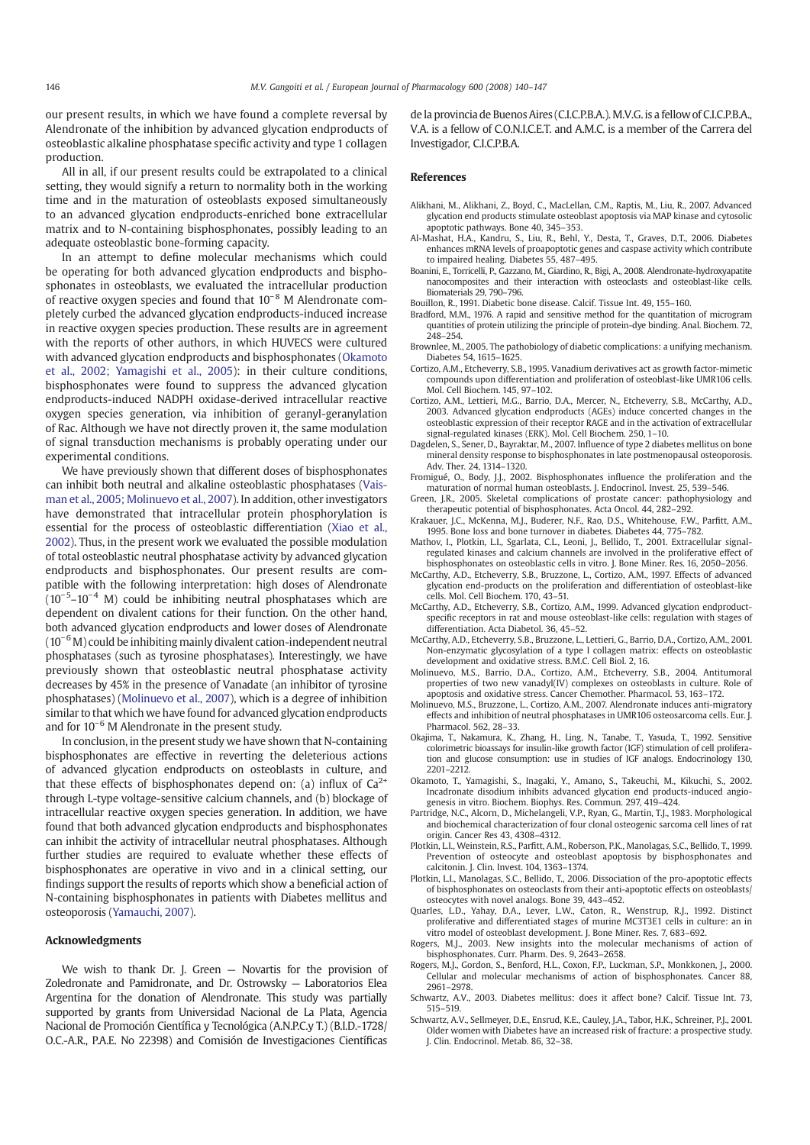our present results, in which we have found a complete reversal by Alendronate of the inhibition by advanced glycation endproducts of osteoblastic alkaline phosphatase specific activity and type 1 collagen production.

All in all, if our present results could be extrapolated to a clinical setting, they would signify a return to normality both in the working time and in the maturation of osteoblasts exposed simultaneously to an advanced glycation endproducts-enriched bone extracellular matrix and to N-containing bisphosphonates, possibly leading to an adequate osteoblastic bone-forming capacity.

In an attempt to define molecular mechanisms which could be operating for both advanced glycation endproducts and bisphosphonates in osteoblasts, we evaluated the intracellular production of reactive oxygen species and found that  $10^{-8}$  M Alendronate completely curbed the advanced glycation endproducts-induced increase in reactive oxygen species production. These results are in agreement with the reports of other authors, in which HUVECS were cultured with advanced glycation endproducts and bisphosphonates (Okamoto et al., 2002; Yamagishi et al., 2005): in their culture conditions, bisphosphonates were found to suppress the advanced glycation endproducts-induced NADPH oxidase-derived intracellular reactive oxygen species generation, via inhibition of geranyl-geranylation of Rac. Although we have not directly proven it, the same modulation of signal transduction mechanisms is probably operating under our experimental conditions.

We have previously shown that different doses of bisphosphonates can inhibit both neutral and alkaline osteoblastic phosphatases (Vaisman et al., 2005; Molinuevo et al., 2007). In addition, other investigators have demonstrated that intracellular protein phosphorylation is essential for the process of osteoblastic differentiation (Xiao et al., 2002). Thus, in the present work we evaluated the possible modulation of total osteoblastic neutral phosphatase activity by advanced glycation endproducts and bisphosphonates. Our present results are compatible with the following interpretation: high doses of Alendronate (10−<sup>5</sup> –10−<sup>4</sup> M) could be inhibiting neutral phosphatases which are dependent on divalent cations for their function. On the other hand, both advanced glycation endproducts and lower doses of Alendronate  $(10^{-6}$  M) could be inhibiting mainly divalent cation-independent neutral phosphatases (such as tyrosine phosphatases). Interestingly, we have previously shown that osteoblastic neutral phosphatase activity decreases by 45% in the presence of Vanadate (an inhibitor of tyrosine phosphatases) (Molinuevo et al., 2007), which is a degree of inhibition similar to that which we have found for advanced glycation endproducts and for 10−<sup>6</sup> M Alendronate in the present study.

In conclusion, in the present study we have shown that N-containing bisphosphonates are effective in reverting the deleterious actions of advanced glycation endproducts on osteoblasts in culture, and that these effects of bisphosphonates depend on: (a) influx of  $Ca^{2+}$ through L-type voltage-sensitive calcium channels, and (b) blockage of intracellular reactive oxygen species generation. In addition, we have found that both advanced glycation endproducts and bisphosphonates can inhibit the activity of intracellular neutral phosphatases. Although further studies are required to evaluate whether these effects of bisphosphonates are operative in vivo and in a clinical setting, our findings support the results of reports which show a beneficial action of N-containing bisphosphonates in patients with Diabetes mellitus and osteoporosis (Yamauchi, 2007).

#### Acknowledgments

We wish to thank Dr. J. Green - Novartis for the provision of Zoledronate and Pamidronate, and Dr. Ostrowsky — Laboratorios Elea Argentina for the donation of Alendronate. This study was partially supported by grants from Universidad Nacional de La Plata, Agencia Nacional de Promoción Científica y Tecnológica (A.N.P.C.y T.) (B.I.D.-1728/ O.C.-A.R., P.A.E. No 22398) and Comisión de Investigaciones Científicas

de la provincia de Buenos Aires (C.I.C.P.B.A.). M.V.G. is a fellow of C.I.C.P.B.A., V.A. is a fellow of C.O.N.I.C.E.T. and A.M.C. is a member of the Carrera del Investigador, C.I.C.P.B.A.

#### References

- Alikhani, M., Alikhani, Z., Boyd, C., MacLellan, C.M., Raptis, M., Liu, R., 2007. Advanced glycation end products stimulate osteoblast apoptosis via MAP kinase and cytosolic apoptotic pathways. Bone 40, 345–353.
- Al-Mashat, H.A., Kandru, S., Liu, R., Behl, Y., Desta, T., Graves, D.T., 2006. Diabetes enhances mRNA levels of proapoptotic genes and caspase activity which contribute to impaired healing. Diabetes 55, 487–495.
- Boanini, E., Torricelli, P., Gazzano, M., Giardino, R., Bigi, A., 2008. Alendronate-hydroxyapatite nanocomposites and their interaction with osteoclasts and osteoblast-like cells. Biomaterials 29, 790–796.
- Bouillon, R., 1991. Diabetic bone disease. Calcif. Tissue Int. 49, 155–160.
- Bradford, M.M., 1976. A rapid and sensitive method for the quantitation of microgram quantities of protein utilizing the principle of protein-dye binding. Anal. Biochem. 72, 248–254.
- Brownlee, M., 2005. The pathobiology of diabetic complications: a unifying mechanism. Diabetes 54, 1615–1625.
- Cortizo, A.M., Etcheverry, S.B., 1995. Vanadium derivatives act as growth factor-mimetic compounds upon differentiation and proliferation of osteoblast-like UMR106 cells. Mol. Cell Biochem. 145, 97–102.
- Cortizo, A.M., Lettieri, M.G., Barrio, D.A., Mercer, N., Etcheverry, S.B., McCarthy, A.D., 2003. Advanced glycation endproducts (AGEs) induce concerted changes in the osteoblastic expression of their receptor RAGE and in the activation of extracellular signal-regulated kinases (ERK). Mol. Cell Biochem. 250, 1–10.
- Dagdelen, S., Sener, D., Bayraktar, M., 2007. Influence of type 2 diabetes mellitus on bone mineral density response to bisphosphonates in late postmenopausal osteoporosis. Adv. Ther. 24, 1314–1320.
- Fromigué, O., Body, J.J., 2002. Bisphosphonates influence the proliferation and the maturation of normal human osteoblasts. J. Endocrinol. Invest. 25, 539–546.
- Green, J.R., 2005. Skeletal complications of prostate cancer: pathophysiology and therapeutic potential of bisphosphonates. Acta Oncol. 44, 282–292.
- Krakauer, J.C., McKenna, M.J., Buderer, N.F., Rao, D.S., Whitehouse, F.W., Parfitt, A.M., 1995. Bone loss and bone turnover in diabetes. Diabetes 44, 775–782.
- Mathov, I., Plotkin, L.I., Sgarlata, C.L., Leoni, J., Bellido, T., 2001. Extracellular signalregulated kinases and calcium channels are involved in the proliferative effect of bisphosphonates on osteoblastic cells in vitro. J. Bone Miner. Res. 16, 2050–2056.
- McCarthy, A.D., Etcheverry, S.B., Bruzzone, L., Cortizo, A.M., 1997. Effects of advanced glycation end-products on the proliferation and differentiation of osteoblast-like cells. Mol. Cell Biochem. 170, 43–51.
- McCarthy, A.D., Etcheverry, S.B., Cortizo, A.M., 1999. Advanced glycation endproductspecific receptors in rat and mouse osteoblast-like cells: regulation with stages of differentiation. Acta Diabetol. 36, 45–52.
- McCarthy, A.D., Etcheverry, S.B., Bruzzone, L., Lettieri, G., Barrio, D.A., Cortizo, A.M., 2001. Non-enzymatic glycosylation of a type I collagen matrix: effects on osteoblastic development and oxidative stress. B.M.C. Cell Biol. 2, 16.
- Molinuevo, M.S., Barrio, D.A., Cortizo, A.M., Etcheverry, S.B., 2004. Antitumoral properties of two new vanadyl(IV) complexes on osteoblasts in culture. Role of apoptosis and oxidative stress. Cancer Chemother. Pharmacol. 53, 163–172.
- Molinuevo, M.S., Bruzzone, L., Cortizo, A.M., 2007. Alendronate induces anti-migratory effects and inhibition of neutral phosphatases in UMR106 osteosarcoma cells. Eur. J. Pharmacol. 562, 28–33.
- Okajima, T., Nakamura, K., Zhang, H., Ling, N., Tanabe, T., Yasuda, T., 1992. Sensitive colorimetric bioassays for insulin-like growth factor (IGF) stimulation of cell proliferation and glucose consumption: use in studies of IGF analogs. Endocrinology 130, 2201–2212.
- Okamoto, T., Yamagishi, S., Inagaki, Y., Amano, S., Takeuchi, M., Kikuchi, S., 2002. Incadronate disodium inhibits advanced glycation end products-induced angiogenesis in vitro. Biochem. Biophys. Res. Commun. 297, 419–424.
- Partridge, N.C., Alcorn, D., Michelangeli, V.P., Ryan, G., Martin, T.J., 1983. Morphological and biochemical characterization of four clonal osteogenic sarcoma cell lines of rat origin. Cancer Res 43, 4308–4312.
- Plotkin, L.I., Weinstein, R.S., Parfitt, A.M., Roberson, P.K., Manolagas, S.C., Bellido, T., 1999. Prevention of osteocyte and osteoblast apoptosis by bisphosphonates and calcitonin. J. Clin. Invest. 104, 1363–1374.
- Plotkin, L.I., Manolagas, S.C., Bellido, T., 2006. Dissociation of the pro-apoptotic effects of bisphosphonates on osteoclasts from their anti-apoptotic effects on osteoblasts/ osteocytes with novel analogs. Bone 39, 443–452.
- Quarles, L.D., Yahay, D.A., Lever, L.W., Caton, R., Wenstrup, R.J., 1992. Distinct proliferative and differentiated stages of murine MC3T3E1 cells in culture: an in vitro model of osteoblast development. J. Bone Miner. Res. 7, 683–692.
- Rogers, M.J., 2003. New insights into the molecular mechanisms of action of bisphosphonates. Curr. Pharm. Des. 9, 2643–2658.
- Rogers, M.J., Gordon, S., Benford, H.L., Coxon, F.P., Luckman, S.P., Monkkonen, J., 2000. Cellular and molecular mechanisms of action of bisphosphonates. Cancer 88, 2961–2978.
- Schwartz, A.V., 2003. Diabetes mellitus: does it affect bone? Calcif. Tissue Int. 73, 515–519.
- Schwartz, A.V., Sellmeyer, D.E., Ensrud, K.E., Cauley, J.A., Tabor, H.K., Schreiner, P.J., 2001. Older women with Diabetes have an increased risk of fracture: a prospective study. J. Clin. Endocrinol. Metab. 86, 32–38.